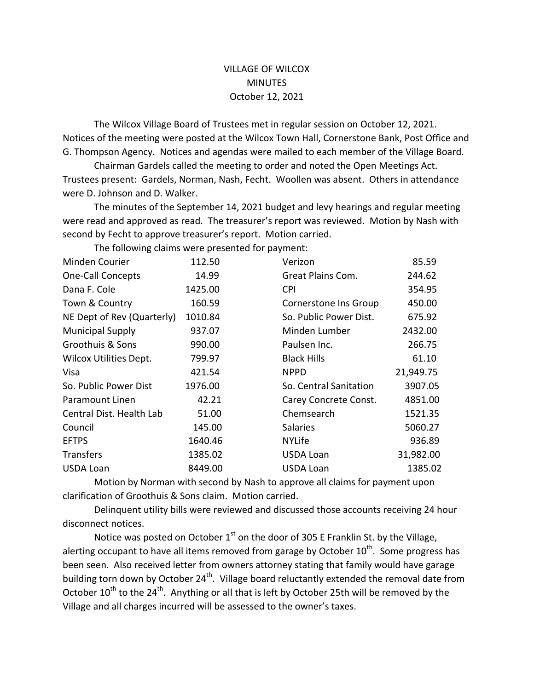## VILLAGE OF WILCOX MINUTES October 12, 2021

The Wilcox Village Board of Trustees met in regular session on October 12, 2021. Notices of the meeting were posted at the Wilcox Town Hall, Cornerstone Bank, Post Office and G. Thompson Agency. Notices and agendas were mailed to each member of the Village Board.

Chairman Gardels called the meeting to order and noted the Open Meetings Act. Trustees present: Gardels, Norman, Nash, Fecht. Woollen was absent. Others in attendance were D. Johnson and D. Walker.

The minutes of the September 14, 2021 budget and levy hearings and regular meeting were read and approved as read. The treasurer's report was reviewed. Motion by Nash with second by Fecht to approve treasurer's report. Motion carried.

The following claims were presented for payment:

| Minden Courier                | 112.50  | Verizon                | 85.59     |
|-------------------------------|---------|------------------------|-----------|
| One-Call Concepts             | 14.99   | Great Plains Com.      | 244.62    |
| Dana F. Cole                  | 1425.00 | <b>CPI</b>             | 354.95    |
| Town & Country                | 160.59  | Cornerstone Ins Group  | 450.00    |
| NE Dept of Rev (Quarterly)    | 1010.84 | So. Public Power Dist. | 675.92    |
| <b>Municipal Supply</b>       | 937.07  | Minden Lumber          | 2432.00   |
| Groothuis & Sons              | 990.00  | Paulsen Inc.           | 266.75    |
| <b>Wilcox Utilities Dept.</b> | 799.97  | <b>Black Hills</b>     | 61.10     |
| Visa                          | 421.54  | <b>NPPD</b>            | 21,949.75 |
| So. Public Power Dist         | 1976.00 | So. Central Sanitation | 3907.05   |
| Paramount Linen               | 42.21   | Carey Concrete Const.  | 4851.00   |
| Central Dist. Health Lab      | 51.00   | Chemsearch             | 1521.35   |
| Council                       | 145.00  | <b>Salaries</b>        | 5060.27   |
| <b>EFTPS</b>                  | 1640.46 | <b>NYLife</b>          | 936.89    |
| <b>Transfers</b>              | 1385.02 | <b>USDA Loan</b>       | 31,982.00 |
| <b>USDA Loan</b>              | 8449.00 | <b>USDA Loan</b>       | 1385.02   |

Motion by Norman with second by Nash to approve all claims for payment upon clarification of Groothuis & Sons claim. Motion carried.

Delinquent utility bills were reviewed and discussed those accounts receiving 24 hour disconnect notices.

Notice was posted on October  $1<sup>st</sup>$  on the door of 305 E Franklin St. by the Village, alerting occupant to have all items removed from garage by October  $10^{th}$ . Some progress has been seen. Also received letter from owners attorney stating that family would have garage building torn down by October 24<sup>th</sup>. Village board reluctantly extended the removal date from October  $10^{th}$  to the  $24^{th}$ . Anything or all that is left by October 25th will be removed by the Village and all charges incurred will be assessed to the owner's taxes.